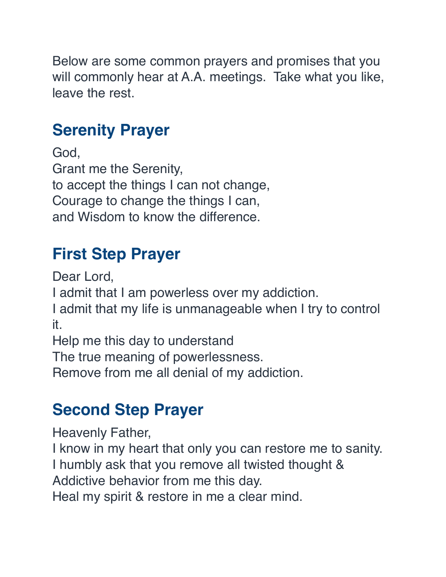Below are some common prayers and promises that you will commonly hear at A.A. meetings. Take what you like, leave the rest.

#### **Serenity Prayer**

God, Grant me the Serenity, to accept the things I can not change, Courage to change the things I can, and Wisdom to know the difference.

## **First Step Prayer**

Dear Lord,

I admit that I am powerless over my addiction.

I admit that my life is unmanageable when I try to control it.

Help me this day to understand

The true meaning of powerlessness.

Remove from me all denial of my addiction.

#### **Second Step Prayer**

Heavenly Father,

I know in my heart that only you can restore me to sanity. I humbly ask that you remove all twisted thought &

Addictive behavior from me this day.

Heal my spirit & restore in me a clear mind.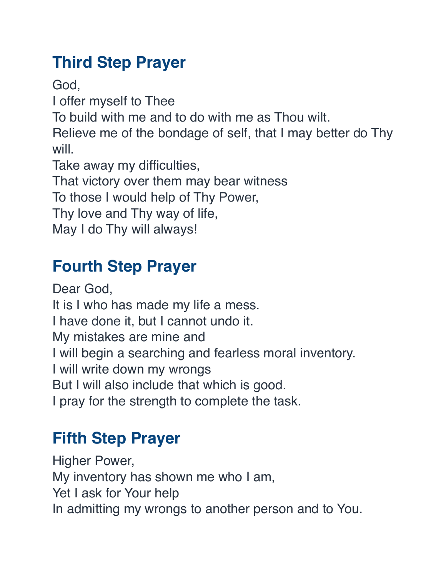## **Third Step Prayer**

God,

I offer myself to Thee

To build with me and to do with me as Thou wilt.

Relieve me of the bondage of self, that I may better do Thy will.

Take away my difficulties,

That victory over them may bear witness

To those I would help of Thy Power,

Thy love and Thy way of life,

May I do Thy will always!

## **Fourth Step Prayer**

Dear God, It is I who has made my life a mess. I have done it, but I cannot undo it. My mistakes are mine and I will begin a searching and fearless moral inventory. I will write down my wrongs But I will also include that which is good. I pray for the strength to complete the task.

# **Fifth Step Prayer**

Higher Power, My inventory has shown me who I am, Yet I ask for Your help In admitting my wrongs to another person and to You.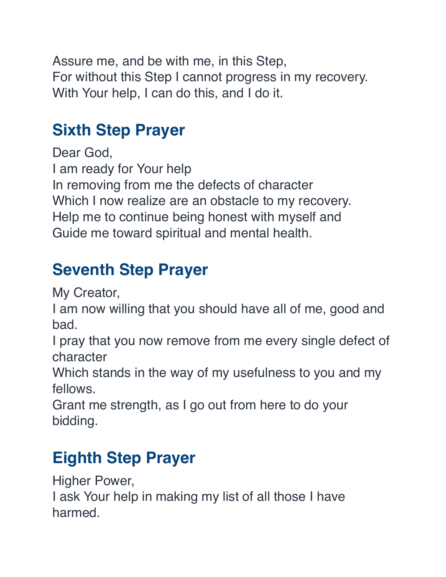Assure me, and be with me, in this Step, For without this Step I cannot progress in my recovery. With Your help, I can do this, and I do it.

## **Sixth Step Prayer**

Dear God, I am ready for Your help In removing from me the defects of character Which I now realize are an obstacle to my recovery. Help me to continue being honest with myself and Guide me toward spiritual and mental health.

## **Seventh Step Prayer**

My Creator,

I am now willing that you should have all of me, good and bad.

I pray that you now remove from me every single defect of character

Which stands in the way of my usefulness to you and my fellows.

Grant me strength, as I go out from here to do your bidding.

## **Eighth Step Prayer**

Higher Power,

I ask Your help in making my list of all those I have harmed.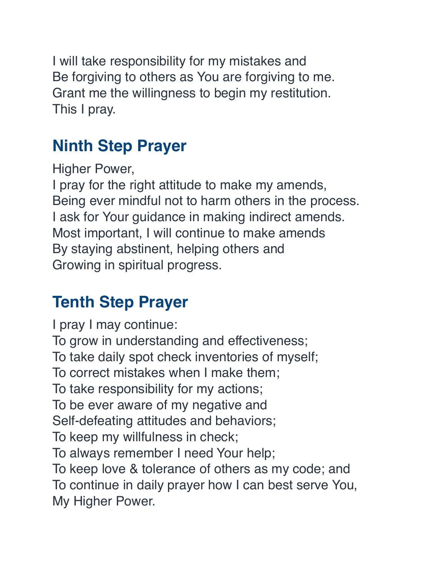I will take responsibility for my mistakes and Be forgiving to others as You are forgiving to me. Grant me the willingness to begin my restitution. This I pray.

# **Ninth Step Prayer**

Higher Power,

I pray for the right attitude to make my amends, Being ever mindful not to harm others in the process. I ask for Your guidance in making indirect amends. Most important, I will continue to make amends By staying abstinent, helping others and Growing in spiritual progress.

# **Tenth Step Prayer**

I pray I may continue: To grow in understanding and effectiveness; To take daily spot check inventories of myself; To correct mistakes when I make them; To take responsibility for my actions; To be ever aware of my negative and Self-defeating attitudes and behaviors; To keep my willfulness in check; To always remember I need Your help; To keep love & tolerance of others as my code; and To continue in daily prayer how I can best serve You, My Higher Power.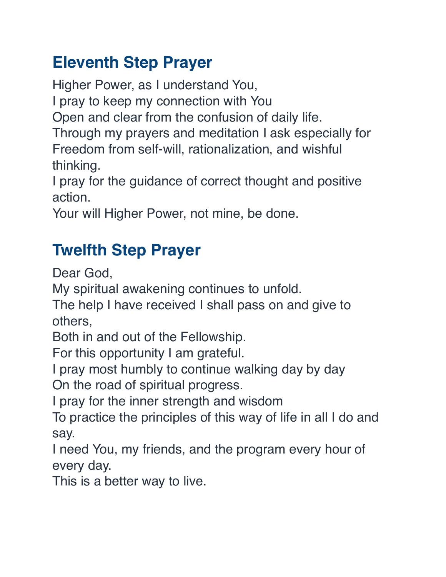#### **Eleventh Step Prayer**

Higher Power, as I understand You,

I pray to keep my connection with You

Open and clear from the confusion of daily life.

Through my prayers and meditation I ask especially for Freedom from self-will, rationalization, and wishful thinking.

I pray for the guidance of correct thought and positive action.

Your will Higher Power, not mine, be done.

## **Twelfth Step Prayer**

Dear God,

My spiritual awakening continues to unfold.

The help I have received I shall pass on and give to others,

Both in and out of the Fellowship.

For this opportunity I am grateful.

I pray most humbly to continue walking day by day On the road of spiritual progress.

I pray for the inner strength and wisdom

To practice the principles of this way of life in all I do and say.

I need You, my friends, and the program every hour of every day.

This is a better way to live.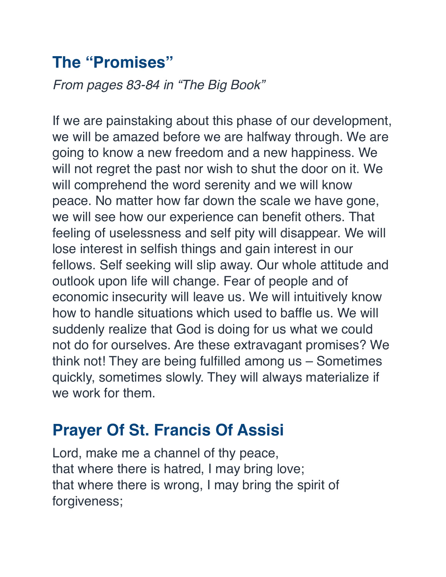#### **The "Promises"**

*From pages 83-84 in "The Big Book"*

If we are painstaking about this phase of our development, we will be amazed before we are halfway through. We are going to know a new freedom and a new happiness. We will not regret the past nor wish to shut the door on it. We will comprehend the word serenity and we will know peace. No matter how far down the scale we have gone, we will see how our experience can benefit others. That feeling of uselessness and self pity will disappear. We will lose interest in selfish things and gain interest in our fellows. Self seeking will slip away. Our whole attitude and outlook upon life will change. Fear of people and of economic insecurity will leave us. We will intuitively know how to handle situations which used to baffle us. We will suddenly realize that God is doing for us what we could not do for ourselves. Are these extravagant promises? We think not! They are being fulfilled among us – Sometimes quickly, sometimes slowly. They will always materialize if we work for them.

#### **Prayer Of St. Francis Of Assisi**

Lord, make me a channel of thy peace, that where there is hatred, I may bring love; that where there is wrong, I may bring the spirit of forgiveness;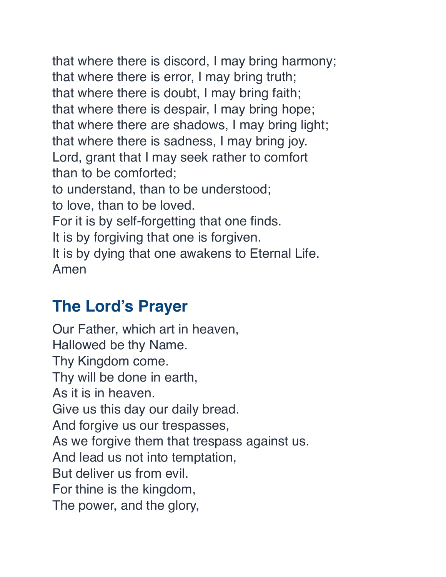that where there is discord, I may bring harmony; that where there is error, I may bring truth; that where there is doubt, I may bring faith; that where there is despair, I may bring hope; that where there are shadows, I may bring light; that where there is sadness, I may bring joy. Lord, grant that I may seek rather to comfort than to be comforted; to understand, than to be understood; to love, than to be loved. For it is by self-forgetting that one finds. It is by forgiving that one is forgiven. It is by dying that one awakens to Eternal Life. Amen

#### **The Lord's Prayer**

Our Father, which art in heaven, Hallowed be thy Name. Thy Kingdom come. Thy will be done in earth, As it is in heaven. Give us this day our daily bread. And forgive us our trespasses, As we forgive them that trespass against us. And lead us not into temptation, But deliver us from evil. For thine is the kingdom, The power, and the glory,